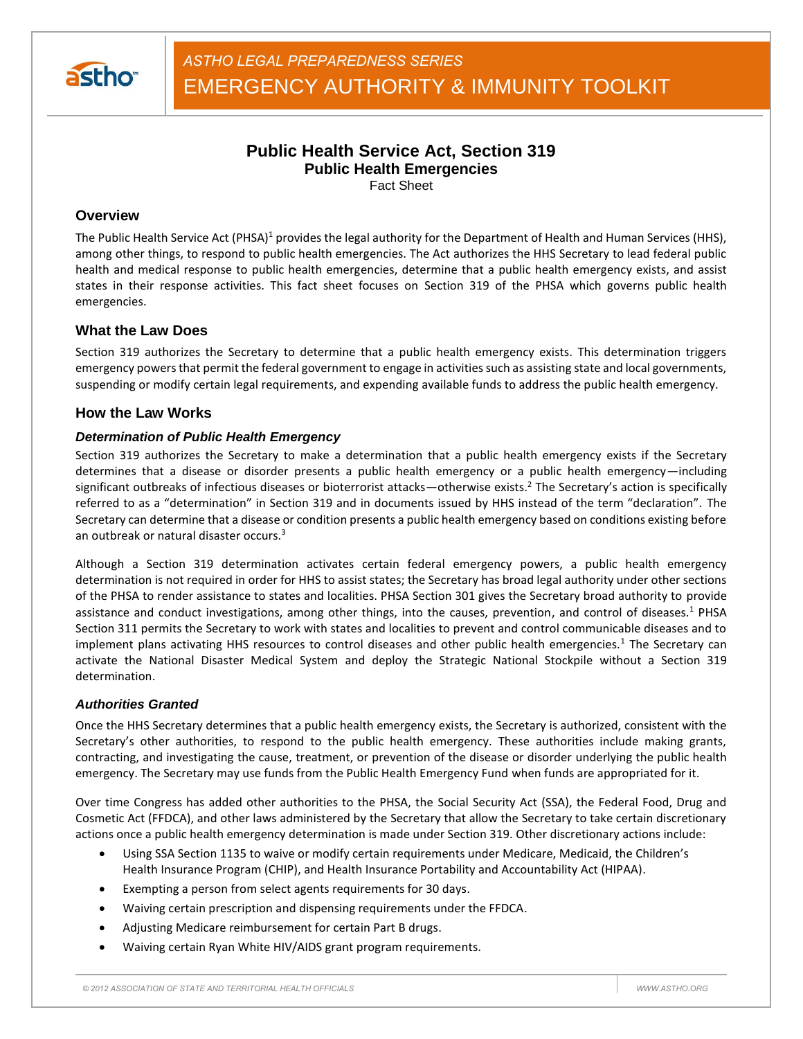

# **Public Health Service Act, Section 319 Public Health Emergencies**

Fact Sheet

## **Overview**

The Public Health Service Act (PHSA)<sup>1</sup> provides the legal authority for the Department of Health and Human Services (HHS), among other things, to respond to public health emergencies. The Act authorizes the HHS Secretary to lead federal public health and medical response to public health emergencies, determine that a public health emergency exists, and assist states in their response activities. This fact sheet focuses on Section 319 of the PHSA which governs public health emergencies.

# **What the Law Does**

Section 319 authorizes the Secretary to determine that a public health emergency exists. This determination triggers emergency powers that permit the federal government to engage in activities such as assisting state and local governments, suspending or modify certain legal requirements, and expending available funds to address the public health emergency.

## **How the Law Works**

## *Determination of Public Health Emergency*

Section 319 authorizes the Secretary to make a determination that a public health emergency exists if the Secretary determines that a disease or disorder presents a public health emergency or a public health emergency—including significant outbreaks of infectious diseases or bioterrorist attacks—otherwise exists.<sup>2</sup> The Secretary's action is specifically referred to as a "determination" in Section 319 and in documents issued by HHS instead of the term "declaration". The Secretary can determine that a disease or condition presents a public health emergency based on conditions existing before an outbreak or natural disaster occurs.<sup>3</sup>

Although a Section 319 determination activates certain federal emergency powers, a public health emergency determination is not required in order for HHS to assist states; the Secretary has broad legal authority under other sections of the PHSA to render assistance to states and localities. PHSA Section 301 gives the Secretary broad authority to provide assistance and conduct investigations, among other things, into the causes, prevention, and control of diseases.<sup>1</sup> PHSA Section 311 permits the Secretary to work with states and localities to prevent and control communicable diseases and to implement plans activating HHS resources to control diseases and other public health emergencies.<sup>1</sup> The Secretary can activate the National Disaster Medical System and deploy the Strategic National Stockpile without a Section 319 determination.

### *Authorities Granted*

Once the HHS Secretary determines that a public health emergency exists, the Secretary is authorized, consistent with the Secretary's other authorities, to respond to the public health emergency. These authorities include making grants, contracting, and investigating the cause, treatment, or prevention of the disease or disorder underlying the public health emergency. The Secretary may use funds from the Public Health Emergency Fund when funds are appropriated for it.

Over time Congress has added other authorities to the PHSA, the Social Security Act (SSA), the Federal Food, Drug and Cosmetic Act (FFDCA), and other laws administered by the Secretary that allow the Secretary to take certain discretionary actions once a public health emergency determination is made under Section 319. Other discretionary actions include:

- Using SSA Section 1135 to waive or modify certain requirements under Medicare, Medicaid, the Children's Health Insurance Program (CHIP), and Health Insurance Portability and Accountability Act (HIPAA).
- Exempting a person from select agents requirements for 30 days.
- Waiving certain prescription and dispensing requirements under the FFDCA.
- Adjusting Medicare reimbursement for certain Part B drugs.
- Waiving certain Ryan White HIV/AIDS grant program requirements.